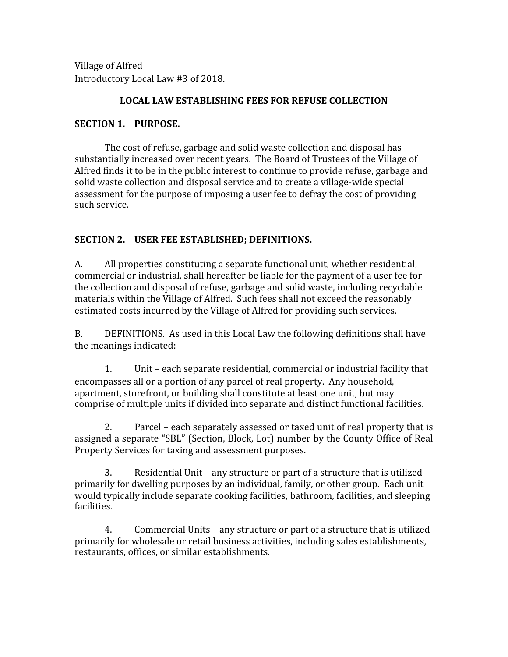Village of Alfred Introductory Local Law #3 of 2018.

### **LOCAL LAW ESTABLISHING FEES FOR REFUSE COLLECTION**

### **SECTION 1. PURPOSE.**

The cost of refuse, garbage and solid waste collection and disposal has substantially increased over recent years. The Board of Trustees of the Village of Alfred finds it to be in the public interest to continue to provide refuse, garbage and solid waste collection and disposal service and to create a village-wide special assessment for the purpose of imposing a user fee to defray the cost of providing such service.

## **SECTION 2. USER FEE ESTABLISHED; DEFINITIONS.**

A. All properties constituting a separate functional unit, whether residential, commercial or industrial, shall hereafter be liable for the payment of a user fee for the collection and disposal of refuse, garbage and solid waste, including recyclable materials within the Village of Alfred. Such fees shall not exceed the reasonably estimated costs incurred by the Village of Alfred for providing such services.

B. DEFINITIONS. As used in this Local Law the following definitions shall have the meanings indicated:

1. Unit – each separate residential, commercial or industrial facility that encompasses all or a portion of any parcel of real property. Any household, apartment, storefront, or building shall constitute at least one unit, but may comprise of multiple units if divided into separate and distinct functional facilities.

2. Parcel – each separately assessed or taxed unit of real property that is assigned a separate "SBL" (Section, Block, Lot) number by the County Office of Real Property Services for taxing and assessment purposes.

3. Residential Unit – any structure or part of a structure that is utilized primarily for dwelling purposes by an individual, family, or other group. Each unit would typically include separate cooking facilities, bathroom, facilities, and sleeping facilities.

4. Commercial Units – any structure or part of a structure that is utilized primarily for wholesale or retail business activities, including sales establishments, restaurants, offices, or similar establishments.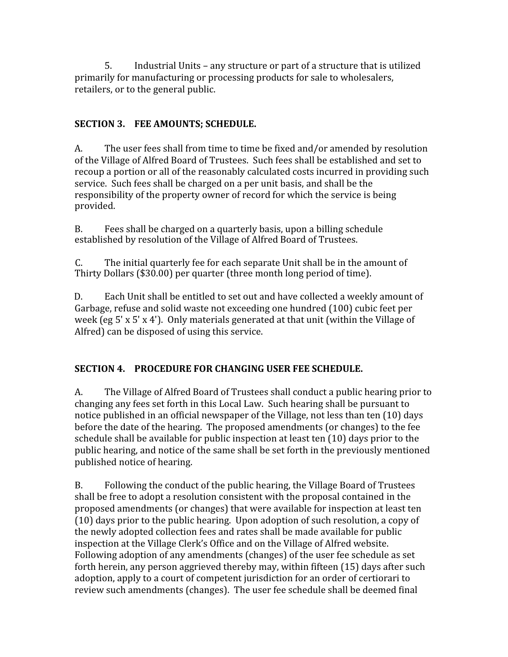5. Industrial Units – any structure or part of a structure that is utilized primarily for manufacturing or processing products for sale to wholesalers, retailers, or to the general public.

# **SECTION 3. FEE AMOUNTS; SCHEDULE.**

A. The user fees shall from time to time be fixed and/or amended by resolution of the Village of Alfred Board of Trustees. Such fees shall be established and set to recoup a portion or all of the reasonably calculated costs incurred in providing such service. Such fees shall be charged on a per unit basis, and shall be the responsibility of the property owner of record for which the service is being provided.

B. Fees shall be charged on a quarterly basis, upon a billing schedule established by resolution of the Village of Alfred Board of Trustees.

C. The initial quarterly fee for each separate Unit shall be in the amount of Thirty Dollars (\$30.00) per quarter (three month long period of time).

D. Each Unit shall be entitled to set out and have collected a weekly amount of Garbage, refuse and solid waste not exceeding one hundred (100) cubic feet per week (eg 5' x 5' x 4'). Only materials generated at that unit (within the Village of Alfred) can be disposed of using this service.

# **SECTION 4. PROCEDURE FOR CHANGING USER FEE SCHEDULE.**

A. The Village of Alfred Board of Trustees shall conduct a public hearing prior to changing any fees set forth in this Local Law. Such hearing shall be pursuant to notice published in an official newspaper of the Village, not less than ten (10) days before the date of the hearing. The proposed amendments (or changes) to the fee schedule shall be available for public inspection at least ten (10) days prior to the public hearing, and notice of the same shall be set forth in the previously mentioned published notice of hearing.

B. Following the conduct of the public hearing, the Village Board of Trustees shall be free to adopt a resolution consistent with the proposal contained in the proposed amendments (or changes) that were available for inspection at least ten (10) days prior to the public hearing. Upon adoption of such resolution, a copy of the newly adopted collection fees and rates shall be made available for public inspection at the Village Clerk's Office and on the Village of Alfred website. Following adoption of any amendments (changes) of the user fee schedule as set forth herein, any person aggrieved thereby may, within fifteen (15) days after such adoption, apply to a court of competent jurisdiction for an order of certiorari to review such amendments (changes). The user fee schedule shall be deemed final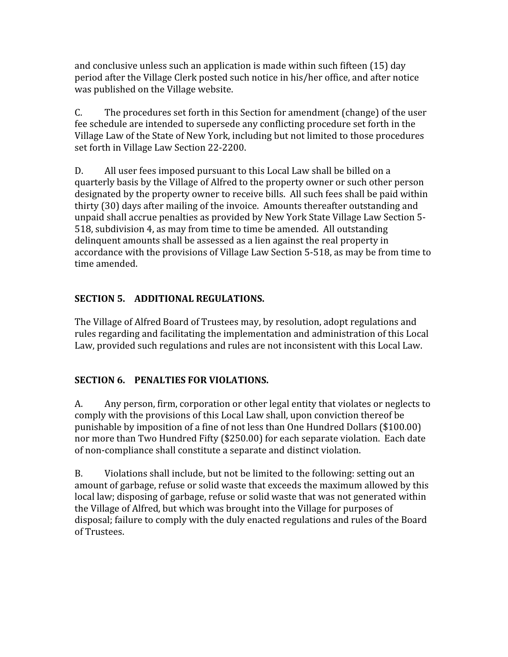and conclusive unless such an application is made within such fifteen (15) day period after the Village Clerk posted such notice in his/her office, and after notice was published on the Village website.

C. The procedures set forth in this Section for amendment (change) of the user fee schedule are intended to supersede any conflicting procedure set forth in the Village Law of the State of New York, including but not limited to those procedures set forth in Village Law Section 22-2200.

D. All user fees imposed pursuant to this Local Law shall be billed on a quarterly basis by the Village of Alfred to the property owner or such other person designated by the property owner to receive bills. All such fees shall be paid within thirty (30) days after mailing of the invoice. Amounts thereafter outstanding and unpaid shall accrue penalties as provided by New York State Village Law Section 5- 518, subdivision 4, as may from time to time be amended. All outstanding delinquent amounts shall be assessed as a lien against the real property in accordance with the provisions of Village Law Section 5-518, as may be from time to time amended.

# **SECTION 5. ADDITIONAL REGULATIONS.**

The Village of Alfred Board of Trustees may, by resolution, adopt regulations and rules regarding and facilitating the implementation and administration of this Local Law, provided such regulations and rules are not inconsistent with this Local Law.

## **SECTION 6. PENALTIES FOR VIOLATIONS.**

A. Any person, firm, corporation or other legal entity that violates or neglects to comply with the provisions of this Local Law shall, upon conviction thereof be punishable by imposition of a fine of not less than One Hundred Dollars (\$100.00) nor more than Two Hundred Fifty (\$250.00) for each separate violation. Each date of non-compliance shall constitute a separate and distinct violation.

B. Violations shall include, but not be limited to the following: setting out an amount of garbage, refuse or solid waste that exceeds the maximum allowed by this local law; disposing of garbage, refuse or solid waste that was not generated within the Village of Alfred, but which was brought into the Village for purposes of disposal; failure to comply with the duly enacted regulations and rules of the Board of Trustees.